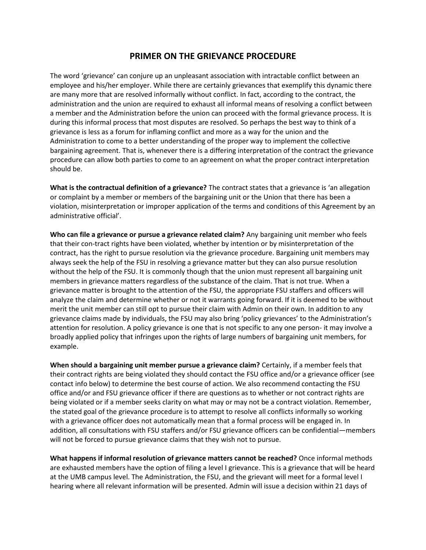## **PRIMER ON THE GRIEVANCE PROCEDURE**

The word 'grievance' can conjure up an unpleasant association with intractable conflict between an employee and his/her employer. While there are certainly grievances that exemplify this dynamic there are many more that are resolved informally without conflict. In fact, according to the contract, the administration and the union are required to exhaust all informal means of resolving a conflict between a member and the Administration before the union can proceed with the formal grievance process. It is during this informal process that most disputes are resolved. So perhaps the best way to think of a grievance is less as a forum for inflaming conflict and more as a way for the union and the Administration to come to a better understanding of the proper way to implement the collective bargaining agreement. That is, whenever there is a differing interpretation of the contract the grievance procedure can allow both parties to come to an agreement on what the proper contract interpretation should be.

**What is the contractual definition of a grievance?** The contract states that a grievance is 'an allegation or complaint by a member or members of the bargaining unit or the Union that there has been a violation, misinterpretation or improper application of the terms and conditions of this Agreement by an administrative official'.

**Who can file a grievance or pursue a grievance related claim?** Any bargaining unit member who feels that their con-tract rights have been violated, whether by intention or by misinterpretation of the contract, has the right to pursue resolution via the grievance procedure. Bargaining unit members may always seek the help of the FSU in resolving a grievance matter but they can also pursue resolution without the help of the FSU. It is commonly though that the union must represent all bargaining unit members in grievance matters regardless of the substance of the claim. That is not true. When a grievance matter is brought to the attention of the FSU, the appropriate FSU staffers and officers will analyze the claim and determine whether or not it warrants going forward. If it is deemed to be without merit the unit member can still opt to pursue their claim with Admin on their own. In addition to any grievance claims made by individuals, the FSU may also bring 'policy grievances' to the Administration's attention for resolution. A policy grievance is one that is not specific to any one person- it may involve a broadly applied policy that infringes upon the rights of large numbers of bargaining unit members, for example.

**When should a bargaining unit member pursue a grievance claim?** Certainly, if a member feels that their contract rights are being violated they should contact the FSU office and/or a grievance officer (see contact info below) to determine the best course of action. We also recommend contacting the FSU office and/or and FSU grievance officer if there are questions as to whether or not contract rights are being violated or if a member seeks clarity on what may or may not be a contract violation. Remember, the stated goal of the grievance procedure is to attempt to resolve all conflicts informally so working with a grievance officer does not automatically mean that a formal process will be engaged in. In addition, all consultations with FSU staffers and/or FSU grievance officers can be confidential—members will not be forced to pursue grievance claims that they wish not to pursue.

**What happens if informal resolution of grievance matters cannot be reached?** Once informal methods are exhausted members have the option of filing a level I grievance. This is a grievance that will be heard at the UMB campus level. The Administration, the FSU, and the grievant will meet for a formal level I hearing where all relevant information will be presented. Admin will issue a decision within 21 days of